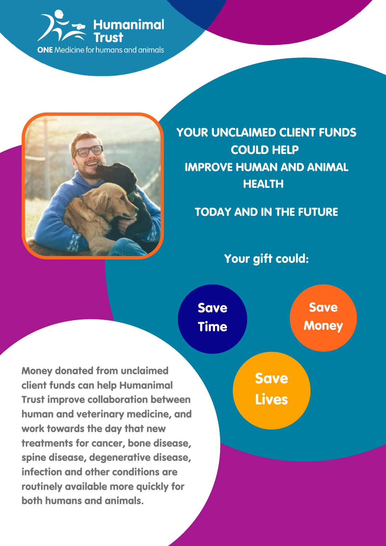



YOUR UNCLAIMED CLIENT FUNDS COULD HELP IMPROVE HUMAN AND ANIMAL **HEALTH** 

## TODAY AND IN THE FUTURE

### Your gift could:

Money donated from unclaimed client funds can help Humanimal Trust improve collaboration between human and veterinary medicine, and work towards the day that new treatments for cancer, bone disease, spine disease, degenerative disease, infection and other conditions are routinely available more quickly for both humans and animals.

Save Time

Save **Money** 

Save Lives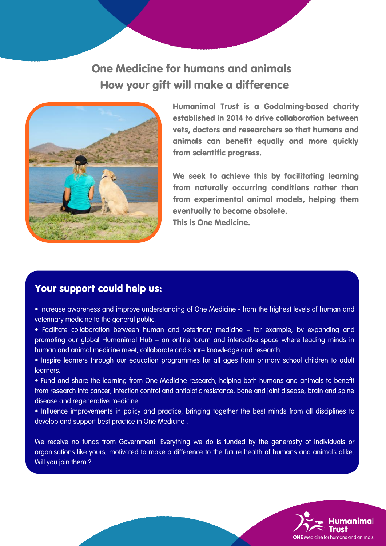### One Medicine for humans and animals How your gift will make a difference



Humanimal Trust is a Godalming-based charity established in 2014 to drive collaboration between vets, doctors and researchers so that humans and animals can benefit equally and more quickly from scientific progress.

We seek to achieve this by facilitating learning from naturally occurring conditions rather than from experimental animal models, helping them eventually to become obsolete. This is One Medicine.

#### Your support could help us:

- Increase awareness and improve understanding of One Medicine from the highest levels of human and veterinary medicine to the general public.
- Facilitate collaboration between human and veterinary medicine for example, by expanding and promoting our global Humanimal Hub – an online forum and interactive space where leading minds in human and animal medicine meet, collaborate and share knowledge and research.
- Inspire learners through our education programmes for all ages from primary school children to adult learners.
- Fund and share the learning from One Medicine research, helping both humans and animals to benefit from research into cancer, infection control and antibiotic resistance, bone and joint disease, brain and spine disease and regenerative medicine.
- Influence improvements in policy and practice, bringing together the best minds from all disciplines to develop and support best practice in One Medicine .

We receive no funds from Government. Everything we do is funded by the generosity of individuals or organisations like yours, motivated to make a difference to the future health of humans and animals alike. Will you join them ?

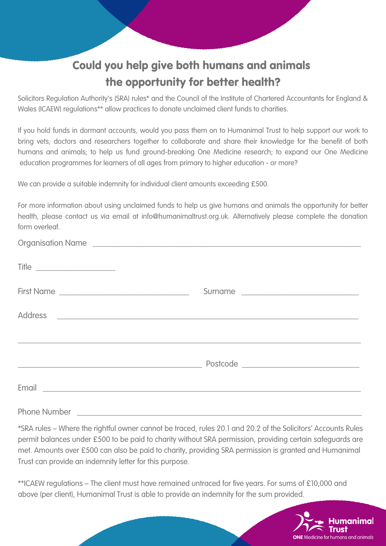# Could you help give both humans and animals the opportunity for better health?

Solicitors Regulation Authority's (SRA) rules\* and the Council of the Institute of Chartered Accountants for England & Wales (ICAEW) regulations\*\* allow practices to donate unclaimed client funds to charities.

If you hold funds in dormant accounts, would you pass them on to Humanimal Trust to help support our work to bring vets, doctors and researchers together to collaborate and share their knowledge for the benefit of both humans and animals; to help us fund ground-breaking One Medicine research; to expand our One Medicine education programmes for learners of all ages from primary to higher education - or more?

We can provide a suitable indemnity for individual client amounts exceeding £500.

For more information about using unclaimed funds to help us give humans and animals the opportunity for better health, please contact us via email at info@humanimaltrust.org.uk. Alternatively please complete the donation form overleaf.

| Organisation Name                                                                                                        |         |
|--------------------------------------------------------------------------------------------------------------------------|---------|
| Title                                                                                                                    |         |
|                                                                                                                          | Surname |
|                                                                                                                          |         |
|                                                                                                                          |         |
| Email <b>Executive Communication</b> Communication Communication Communication Communication Communication Communication |         |

Phone Number

\*SRA rules – Where the rightful owner cannot be traced, rules 20.1 and 20.2 of the Solicitors' Accounts Rules permit balances under £500 to be paid to charity without SRA permission, providing certain safeguards are met. Amounts over £500 can also be paid to charity, providing SRA permission is granted and Humanimal Trust can provide an indemnity letter for this purpose.

\*\*ICAEW regulations – The client must have remained untraced for five years. For sums of £10,000 and above (per client), Humanimal Trust is able to provide an indemnity for the sum provided.

for humans and animals